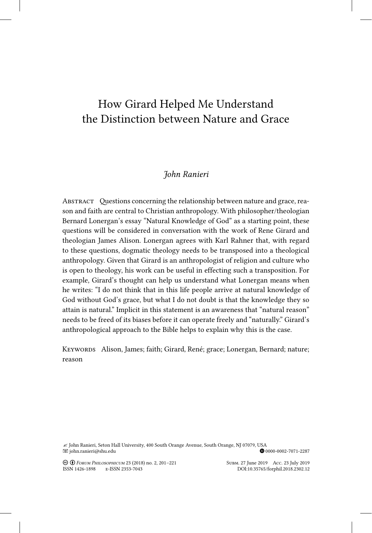## How Girard Helped Me Understand the Distinction between Nature and Grace

## *John Ranieri*

ABSTRACT Questions concerning the relationship between nature and grace, reason and faith are central to Christian anthropology. With philosopher/theologian Bernard Lonergan's essay "Natural Knowledge of God" as a starting point, these questions will be considered in conversation with the work of Rene Girard and theologian James Alison. Lonergan agrees with Karl Rahner that, with regard to these questions, dogmatic theology needs to be transposed into a theological anthropology. Given that Girard is an anthropologist of religion and culture who is open to theology, his work can be useful in effecting such a transposition. For example, Girard's thought can help us understand what Lonergan means when he writes: "I do not think that in this life people arrive at natural knowledge of God without God's grace, but what I do not doubt is that the knowledge they so attain is natural." Implicit in this statement is an awareness that "natural reason" needs to be freed of its biases before it can operate freely and "naturally." Girard's anthropological approach to the Bible helps to explain why this is the case.

KEYWORDS Alison, James; faith; Girard, René; grace; Lonergan, Bernard; nature; reason

∠ John Ranieri, Seton Hall University, 400 South Orange Avenue, South Orange, NJ 07079, USA<br>12287⊕ ohn.ranieri@shu.edu  $\blacksquare$ john.ranieri@shu.edu

Creative-Commons Creative-Commons Creative-Commons Creative-Commons Creative-Commons Creative-Commons Creative-<br>Commons Commons Commons Creative-Commons Creative-Commons Creative-Commons Creative-Commons Creative-Commons C ISSN 1426-1898 E-ISSN 2353-7043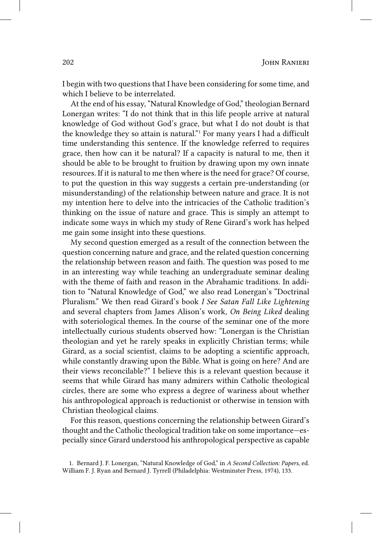I begin with two questions that I have been considering for some time, and which I believe to be interrelated.

At the end of his essay, "Natural Knowledge of God," theologian Bernard Lonergan writes: "I do not think that in this life people arrive at natural knowledge of God without God's grace, but what I do not doubt is that the knowledge they so attain is natural." 1 For many years I had a difficult time understanding this sentence. If the knowledge referred to requires grace, then how can it be natural? If a capacity is natural to me, then it should be able to be brought to fruition by drawing upon my own innate resources. If it is natural to me then where is the need for grace? Of course, to put the question in this way suggests a certain pre-understanding (or misunderstanding) of the relationship between nature and grace. It is not my intention here to delve into the intricacies of the Catholic tradition's thinking on the issue of nature and grace. This is simply an attempt to indicate some ways in which my study of Rene Girard's work has helped me gain some insight into these questions.

My second question emerged as a result of the connection between the question concerning nature and grace, and the related question concerning the relationship between reason and faith. The question was posed to me in an interesting way while teaching an undergraduate seminar dealing with the theme of faith and reason in the Abrahamic traditions. In addition to "Natural Knowledge of God," we also read Lonergan's "Doctrinal Pluralism." We then read Girard's book *I See Satan Fall Like Lightening* and several chapters from James Alison's work, *On Being Liked* dealing with soteriological themes. In the course of the seminar one of the more intellectually curious students observed how: "Lonergan is the Christian theologian and yet he rarely speaks in explicitly Christian terms; while Girard, as a social scientist, claims to be adopting a scientific approach, while constantly drawing upon the Bible. What is going on here? And are their views reconcilable?" I believe this is a relevant question because it seems that while Girard has many admirers within Catholic theological circles, there are some who express a degree of wariness about whether his anthropological approach is reductionist or otherwise in tension with Christian theological claims.

For this reason, questions concerning the relationship between Girard's thought and the Catholic theological tradition take on some importance—especially since Girard understood his anthropological perspective as capable

<sup>1.</sup> Bernard J. F. Lonergan, "Natural Knowledge of God," in *A Second Collection: Papers*, ed. William F. J. Ryan and Bernard J. Tyrrell (Philadelphia: Westminster Press, 1974), 133.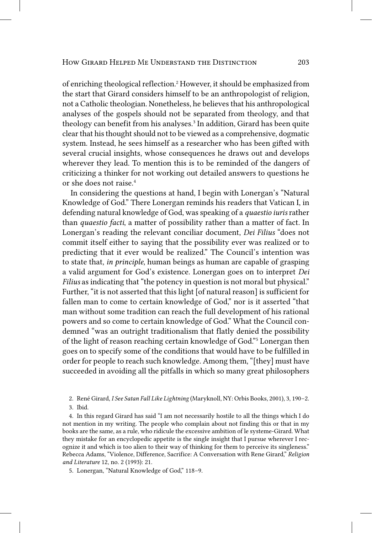of enriching theological reflection. 2 However, it should be emphasized from the start that Girard considers himself to be an anthropologist of religion, not a Catholic theologian. Nonetheless, he believes that his anthropological analyses of the gospels should not be separated from theology, and that theology can benefit from his analyses. 3 In addition, Girard has been quite clear that his thought should not to be viewed as a comprehensive, dogmatic system. Instead, he sees himself as a researcher who has been gifted with several crucial insights, whose consequences he draws out and develops wherever they lead. To mention this is to be reminded of the dangers of criticizing a thinker for not working out detailed answers to questions he or she does not raise. 4

In considering the questions at hand, I begin with Lonergan's "Natural Knowledge of God." There Lonergan reminds his readers that Vatican I, in defending natural knowledge of God, was speaking of a *quaestio iuris* rather than *quaestio facti*, a matter of possibility rather than a matter of fact. In Lonergan's reading the relevant conciliar document, *Dei Filius* "does not commit itself either to saying that the possibility ever was realized or to predicting that it ever would be realized." The Council's intention was to state that, *in principle*, human beings as human are capable of grasping a valid argument for God's existence. Lonergan goes on to interpret *Dei Filius* as indicating that "the potency in question is not moral but physical." Further, "it is not asserted that this light [of natural reason] is sufficient for fallen man to come to certain knowledge of God," nor is it asserted "that man without some tradition can reach the full development of his rational powers and so come to certain knowledge of God." What the Council condemned "was an outright traditionalism that flatly denied the possibility of the light of reason reaching certain knowledge of God." 5 Lonergan then goes on to specify some of the conditions that would have to be fulfilled in order for people to reach such knowledge. Among them, "[they] must have succeeded in avoiding all the pitfalls in which so many great philosophers

2. René Girard, *I See Satan Fall Like Lightning* (Maryknoll, NY: Orbis Books, 2001), 3, 190–2. 3. Ibid.

4. In this regard Girard has said "I am not necessarily hostile to all the things which I do not mention in my writing. The people who complain about not finding this or that in my books are the same, as a rule, who ridicule the excessive ambition of le systeme-Girard. What they mistake for an encyclopedic appetite is the single insight that I pursue wherever I recognize it and which is too alien to their way of thinking for them to perceive its singleness." Rebecca Adams, "Violence, Difference, Sacrifice: A Conversation with Rene Girard," *Religion and Literature* 12, no. 2 (1993): 21.

5. Lonergan, "Natural Knowledge of God," 118–9.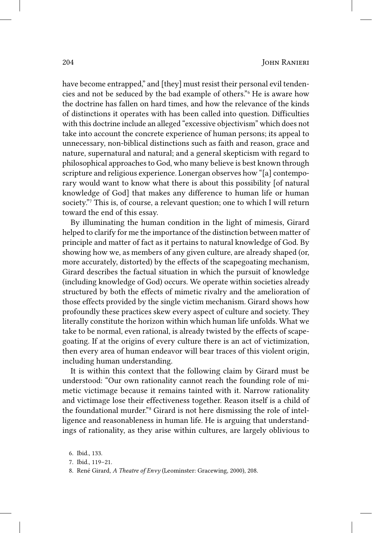have become entrapped," and [they] must resist their personal evil tendencies and not be seduced by the bad example of others." 6 He is aware how the doctrine has fallen on hard times, and how the relevance of the kinds of distinctions it operates with has been called into question. Difficulties with this doctrine include an alleged "excessive objectivism" which does not take into account the concrete experience of human persons; its appeal to unnecessary, non-biblical distinctions such as faith and reason, grace and nature, supernatural and natural; and a general skepticism with regard to philosophical approaches to God, who many believe is best known through scripture and religious experience. Lonergan observes how "[a] contemporary would want to know what there is about this possibility [of natural knowledge of God] that makes any difference to human life or human society."<sup>7</sup> This is, of course, a relevant question; one to which I will return toward the end of this essay.

By illuminating the human condition in the light of mimesis, Girard helped to clarify for me the importance of the distinction between matter of principle and matter of fact as it pertains to natural knowledge of God. By showing how we, as members of any given culture, are already shaped (or, more accurately, distorted) by the effects of the scapegoating mechanism, Girard describes the factual situation in which the pursuit of knowledge (including knowledge of God) occurs. We operate within societies already structured by both the effects of mimetic rivalry and the amelioration of those effects provided by the single victim mechanism. Girard shows how profoundly these practices skew every aspect of culture and society. They literally constitute the horizon within which human life unfolds. What we take to be normal, even rational, is already twisted by the effects of scapegoating. If at the origins of every culture there is an act of victimization, then every area of human endeavor will bear traces of this violent origin, including human understanding.

It is within this context that the following claim by Girard must be understood: "Our own rationality cannot reach the founding role of mimetic victimage because it remains tainted with it. Narrow rationality and victimage lose their effectiveness together. Reason itself is a child of the foundational murder."<sup>8</sup> Girard is not here dismissing the role of intelligence and reasonableness in human life. He is arguing that understandings of rationality, as they arise within cultures, are largely oblivious to

<sup>6.</sup> Ibid., 133.

<sup>7.</sup> Ibid., 119–21.

<sup>8.</sup> René Girard, *A Theatre of Envy* (Leominster: Gracewing, 2000), 208.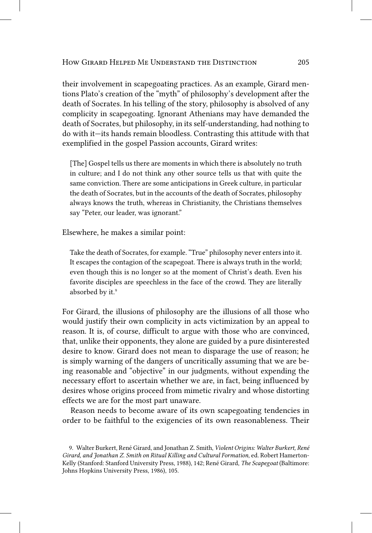their involvement in scapegoating practices. As an example, Girard mentions Plato's creation of the "myth" of philosophy's development after the death of Socrates. In his telling of the story, philosophy is absolved of any complicity in scapegoating. Ignorant Athenians may have demanded the death of Socrates, but philosophy, in its self-understanding, had nothing to do with it—its hands remain bloodless. Contrasting this attitude with that exemplified in the gospel Passion accounts, Girard writes:

[The] Gospel tells us there are moments in which there is absolutely no truth in culture; and I do not think any other source tells us that with quite the same conviction. There are some anticipations in Greek culture, in particular the death of Socrates, but in the accounts of the death of Socrates, philosophy always knows the truth, whereas in Christianity, the Christians themselves say "Peter, our leader, was ignorant."

Elsewhere, he makes a similar point:

Take the death of Socrates, for example. "True" philosophy never enters into it. It escapes the contagion of the scapegoat. There is always truth in the world; even though this is no longer so at the moment of Christ's death. Even his favorite disciples are speechless in the face of the crowd. They are literally absorbed by it.<sup>9</sup>

For Girard, the illusions of philosophy are the illusions of all those who would justify their own complicity in acts victimization by an appeal to reason. It is, of course, difficult to argue with those who are convinced, that, unlike their opponents, they alone are guided by a pure disinterested desire to know. Girard does not mean to disparage the use of reason; he is simply warning of the dangers of uncritically assuming that we are being reasonable and "objective" in our judgments, without expending the necessary effort to ascertain whether we are, in fact, being influenced by desires whose origins proceed from mimetic rivalry and whose distorting effects we are for the most part unaware.

Reason needs to become aware of its own scapegoating tendencies in order to be faithful to the exigencies of its own reasonableness. Their

<sup>9.</sup> Walter Burkert, René Girard, and Jonathan Z. Smith, *Violent Origins: Walter Burkert, René Girard, and Jonathan Z. Smith on Ritual Killing and Cultural Formation*, ed. Robert Hamerton-Kelly (Stanford: Stanford University Press, 1988), 142; René Girard, *The Scapegoat* (Baltimore: Johns Hopkins University Press, 1986), 105.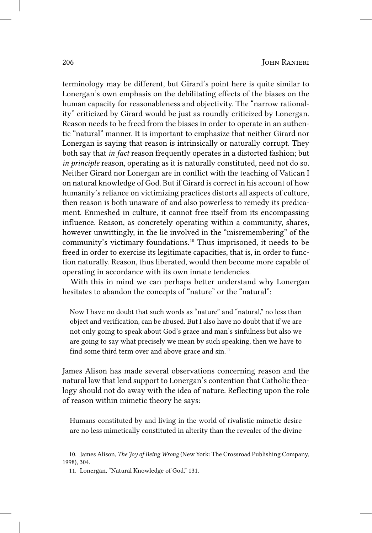terminology may be different, but Girard's point here is quite similar to Lonergan's own emphasis on the debilitating effects of the biases on the human capacity for reasonableness and objectivity. The "narrow rationality" criticized by Girard would be just as roundly criticized by Lonergan. Reason needs to be freed from the biases in order to operate in an authentic "natural" manner. It is important to emphasize that neither Girard nor Lonergan is saying that reason is intrinsically or naturally corrupt. They both say that *in fact* reason frequently operates in a distorted fashion; but *in principle* reason, operating as it is naturally constituted, need not do so. Neither Girard nor Lonergan are in conflict with the teaching of Vatican I on natural knowledge of God. But if Girard is correct in his account of how humanity's reliance on victimizing practices distorts all aspects of culture, then reason is both unaware of and also powerless to remedy its predicament. Enmeshed in culture, it cannot free itself from its encompassing influence. Reason, as concretely operating within a community, shares, however unwittingly, in the lie involved in the "misremembering" of the community's victimary foundations. 10 Thus imprisoned, it needs to be freed in order to exercise its legitimate capacities, that is, in order to function naturally. Reason, thus liberated, would then become more capable of operating in accordance with its own innate tendencies.

With this in mind we can perhaps better understand why Lonergan hesitates to abandon the concepts of "nature" or the "natural":

Now I have no doubt that such words as "nature" and "natural," no less than object and verification, can be abused. But I also have no doubt that if we are not only going to speak about God's grace and man's sinfulness but also we are going to say what precisely we mean by such speaking, then we have to find some third term over and above grace and sin.<sup>11</sup>

James Alison has made several observations concerning reason and the natural law that lend support to Lonergan's contention that Catholic theology should not do away with the idea of nature. Reflecting upon the role of reason within mimetic theory he says:

Humans constituted by and living in the world of rivalistic mimetic desire are no less mimetically constituted in alterity than the revealer of the divine

<sup>10.</sup> James Alison, *The Joy of Being Wrong* (New York: The Crossroad Publishing Company, 1998), 304.

<sup>11.</sup> Lonergan, "Natural Knowledge of God," 131.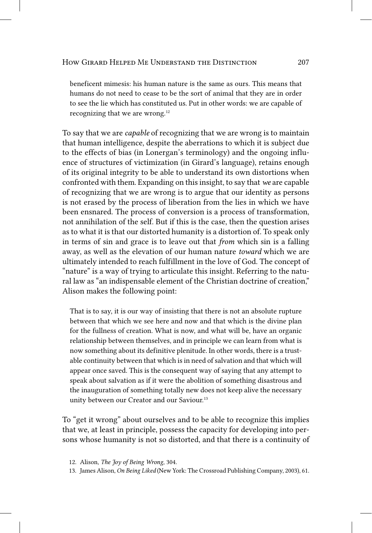beneficent mimesis: his human nature is the same as ours. This means that humans do not need to cease to be the sort of animal that they are in order to see the lie which has constituted us. Put in other words: we are capable of recognizing that we are wrong. 12

To say that we are *capable* of recognizing that we are wrong is to maintain that human intelligence, despite the aberrations to which it is subject due to the effects of bias (in Lonergan's terminology) and the ongoing influence of structures of victimization (in Girard's language), retains enough of its original integrity to be able to understand its own distortions when confronted with them. Expanding on this insight, to say that *we* are capable of recognizing that we are wrong is to argue that our identity as persons is not erased by the process of liberation from the lies in which we have been ensnared. The process of conversion is a process of transformation, not annihilation of the self. But if this is the case, then the question arises as to what it is that our distorted humanity is a distortion of. To speak only in terms of sin and grace is to leave out that *from* which sin is a falling away, as well as the elevation of our human nature *toward* which we are ultimately intended to reach fulfillment in the love of God. The concept of "nature" is a way of trying to articulate this insight. Referring to the natural law as "an indispensable element of the Christian doctrine of creation," Alison makes the following point:

That is to say, it is our way of insisting that there is not an absolute rupture between that which we see here and now and that which is the divine plan for the fullness of creation. What is now, and what will be, have an organic relationship between themselves, and in principle we can learn from what is now something about its definitive plenitude. In other words, there is a trustable continuity between that which is in need of salvation and that which will appear once saved. This is the consequent way of saying that any attempt to speak about salvation as if it were the abolition of something disastrous and the inauguration of something totally new does not keep alive the necessary unity between our Creator and our Saviour. 13

To "get it wrong" about ourselves and to be able to recognize this implies that we, at least in principle, possess the capacity for developing into persons whose humanity is not so distorted, and that there is a continuity of

<sup>12.</sup> Alison, *The Joy of Being Wrong*, 304.

<sup>13.</sup> James Alison, *On Being Liked* (New York: The Crossroad Publishing Company, 2003), 61.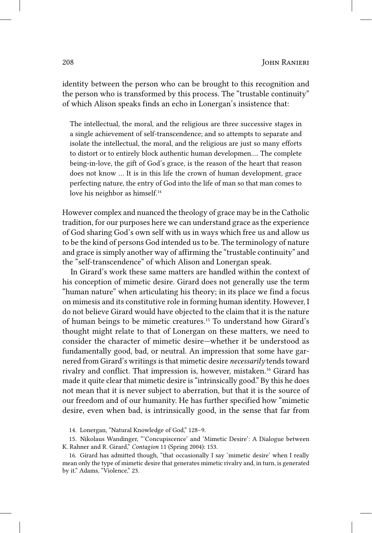identity between the person who can be brought to this recognition and the person who is transformed by this process. The "trustable continuity" of which Alison speaks finds an echo in Lonergan's insistence that:

The intellectual, the moral, and the religious are three successive stages in a single achievement of self-transcendence; and so attempts to separate and isolate the intellectual, the moral, and the religious are just so many efforts to distort or to entirely block authentic human developmen…. The complete being-in-love, the gift of God's grace, is the reason of the heart that reason does not know … It is in this life the crown of human development, grace perfecting nature, the entry of God into the life of man so that man comes to love his neighbor as himself.<sup>14</sup>

However complex and nuanced the theology of grace may be in the Catholic tradition, for our purposes here we can understand grace as the experience of God sharing God's own self with us in ways which free us and allow us to be the kind of persons God intended us to be. The terminology of nature and grace is simply another way of affirming the "trustable continuity" and the "self-transcendence" of which Alison and Lonergan speak.

In Girard's work these same matters are handled within the context of his conception of mimetic desire. Girard does not generally use the term "human nature" when articulating his theory; in its place we find a focus on mimesis and its constitutive role in forming human identity. However, I do not believe Girard would have objected to the claim that it is the nature of human beings to be mimetic creatures. 15 To understand how Girard's thought might relate to that of Lonergan on these matters, we need to consider the character of mimetic desire—whether it be understood as fundamentally good, bad, or neutral. An impression that some have garnered from Girard's writings is that mimetic desire *necessarily* tends toward rivalry and conflict. That impression is, however, mistaken. 16 Girard has made it quite clear that mimetic desire is "intrinsically good." By this he does not mean that it is never subject to aberration, but that it is the source of our freedom and of our humanity. He has further specified how "mimetic desire, even when bad, is intrinsically good, in the sense that far from

<sup>14.</sup> Lonergan, "Natural Knowledge of God," 128–9.

<sup>15.</sup> Nikolaus Wandinger, "'Concupiscence' and 'Mimetic Desire': A Dialogue between K. Rahner and R. Girard," *Contagion* 11 (Spring 2004): 153.

<sup>16.</sup> Girard has admitted though, "that occasionally I say 'mimetic desire' when I really mean only the type of mimetic desire that generates mimetic rivalry and, in turn, is generated by it." Adams, "Violence," 23.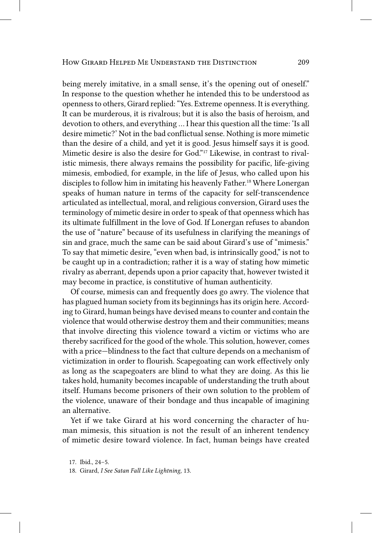being merely imitative, in a small sense, it's the opening out of oneself." In response to the question whether he intended this to be understood as openness to others, Girard replied: "Yes. Extreme openness. It is everything. It can be murderous, it is rivalrous; but it is also the basis of heroism, and devotion to others, and everything … I hear this question all the time: 'Is all desire mimetic?' Not in the bad conflictual sense. Nothing is more mimetic than the desire of a child, and yet it is good. Jesus himself says it is good. Mimetic desire is also the desire for God." 17 Likewise, in contrast to rivalistic mimesis, there always remains the possibility for pacific, life-giving mimesis, embodied, for example, in the life of Jesus, who called upon his disciples to follow him in imitating his heavenly Father. 18 Where Lonergan speaks of human nature in terms of the capacity for self-transcendence articulated as intellectual, moral, and religious conversion, Girard uses the terminology of mimetic desire in order to speak of that openness which has its ultimate fulfillment in the love of God. If Lonergan refuses to abandon the use of "nature" because of its usefulness in clarifying the meanings of sin and grace, much the same can be said about Girard's use of "mimesis." To say that mimetic desire, "even when bad, is intrinsically good," is not to be caught up in a contradiction; rather it is a way of stating how mimetic rivalry as aberrant, depends upon a prior capacity that, however twisted it may become in practice, is constitutive of human authenticity.

Of course, mimesis can and frequently does go awry. The violence that has plagued human society from its beginnings has its origin here. According to Girard, human beings have devised means to counter and contain the violence that would otherwise destroy them and their communities; means that involve directing this violence toward a victim or victims who are thereby sacrificed for the good of the whole. This solution, however, comes with a price—blindness to the fact that culture depends on a mechanism of victimization in order to flourish. Scapegoating can work effectively only as long as the scapegoaters are blind to what they are doing. As this lie takes hold, humanity becomes incapable of understanding the truth about itself. Humans become prisoners of their own solution to the problem of the violence, unaware of their bondage and thus incapable of imagining an alternative.

Yet if we take Girard at his word concerning the character of human mimesis, this situation is not the result of an inherent tendency of mimetic desire toward violence. In fact, human beings have created

<sup>17.</sup> Ibid., 24–5.

<sup>18.</sup> Girard, *I See Satan Fall Like Lightning*, 13.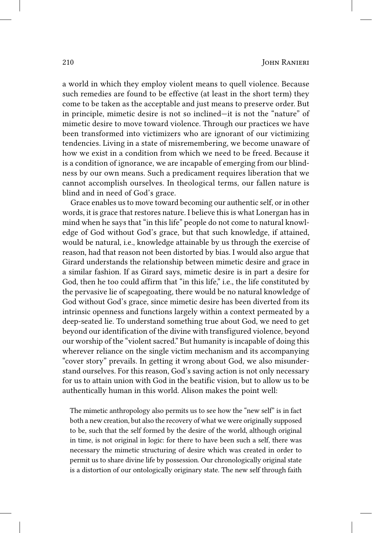a world in which they employ violent means to quell violence. Because such remedies are found to be effective (at least in the short term) they come to be taken as the acceptable and just means to preserve order. But in principle, mimetic desire is not so inclined—it is not the "nature" of mimetic desire to move toward violence. Through our practices we have been transformed into victimizers who are ignorant of our victimizing tendencies. Living in a state of misremembering, we become unaware of how we exist in a condition from which we need to be freed. Because it is a condition of ignorance, we are incapable of emerging from our blindness by our own means. Such a predicament requires liberation that we cannot accomplish ourselves. In theological terms, our fallen nature is blind and in need of God's grace.

Grace enables us to move toward becoming our authentic self, or in other words, it is grace that restores nature. I believe this is what Lonergan has in mind when he says that "in this life" people do not come to natural knowledge of God without God's grace, but that such knowledge, if attained, would be natural, i.e., knowledge attainable by us through the exercise of reason, had that reason not been distorted by bias. I would also argue that Girard understands the relationship between mimetic desire and grace in a similar fashion. If as Girard says, mimetic desire is in part a desire for God, then he too could affirm that "in this life," i.e., the life constituted by the pervasive lie of scapegoating, there would be no natural knowledge of God without God's grace, since mimetic desire has been diverted from its intrinsic openness and functions largely within a context permeated by a deep-seated lie. To understand something true about God, we need to get beyond our identification of the divine with transfigured violence, beyond our worship of the "violent sacred." But humanity is incapable of doing this wherever reliance on the single victim mechanism and its accompanying "cover story" prevails. In getting it wrong about God, we also misunderstand ourselves. For this reason, God's saving action is not only necessary for us to attain union with God in the beatific vision, but to allow us to be authentically human in this world. Alison makes the point well:

The mimetic anthropology also permits us to see how the "new self" is in fact both a new creation, but also the recovery of what we were originally supposed to be, such that the self formed by the desire of the world, although original in time, is not original in logic: for there to have been such a self, there was necessary the mimetic structuring of desire which was created in order to permit us to share divine life by possession. Our chronologically original state is a distortion of our ontologically originary state. The new self through faith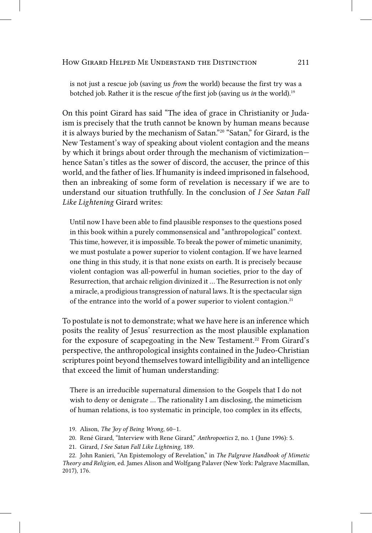is not just a rescue job (saving us *from* the world) because the first try was a botched job. Rather it is the rescue *of* the first job (saving us *in* the world). 19

On this point Girard has said "The idea of grace in Christianity or Judaism is precisely that the truth cannot be known by human means because it is always buried by the mechanism of Satan." 20 "Satan," for Girard, is the New Testament's way of speaking about violent contagion and the means by which it brings about order through the mechanism of victimization hence Satan's titles as the sower of discord, the accuser, the prince of this world, and the father of lies. If humanity is indeed imprisoned in falsehood, then an inbreaking of some form of revelation is necessary if we are to understand our situation truthfully. In the conclusion of *I See Satan Fall Like Lightening* Girard writes:

Until now I have been able to find plausible responses to the questions posed in this book within a purely commonsensical and "anthropological" context. This time, however, it is impossible. To break the power of mimetic unanimity, we must postulate a power superior to violent contagion. If we have learned one thing in this study, it is that none exists on earth. It is precisely because violent contagion was all-powerful in human societies, prior to the day of Resurrection, that archaic religion divinized it … The Resurrection is not only a miracle, a prodigious transgression of natural laws. It is the spectacular sign of the entrance into the world of a power superior to violent contagion. 21

To postulate is not to demonstrate; what we have here is an inference which posits the reality of Jesus' resurrection as the most plausible explanation for the exposure of scapegoating in the New Testament. 22 From Girard's perspective, the anthropological insights contained in the Judeo-Christian scriptures point beyond themselves toward intelligibility and an intelligence that exceed the limit of human understanding:

There is an irreducible supernatural dimension to the Gospels that I do not wish to deny or denigrate … The rationality I am disclosing, the mimeticism of human relations, is too systematic in principle, too complex in its effects,

- 19. Alison, *The Joy of Being Wrong*, 60–1.
- 20. René Girard, "Interview with Rene Girard," *Anthropoetics* 2, no. 1 (June 1996): 5.
- 21. Girard, *I See Satan Fall Like Lightning*, 189.

22. John Ranieri, "An Epistemology of Revelation," in *The Palgrave Handbook of Mimetic Theory and Religion*, ed. James Alison and Wolfgang Palaver (New York: Palgrave Macmillan, 2017), 176.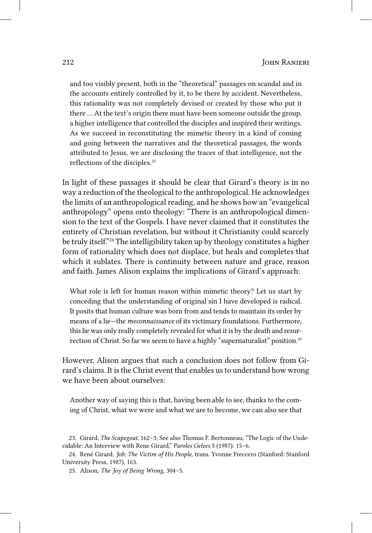and too visibly present, both in the "theoretical" passages on scandal and in the accounts entirely controlled by it, to be there by accident. Nevertheless, this rationality was not completely devised or created by those who put it there … At the text's origin there must have been someone outside the group, a higher intelligence that controlled the disciples and inspired their writings. As we succeed in reconstituting the mimetic theory in a kind of coming and going between the narratives and the theoretical passages, the words attributed to Jesus, we are disclosing the traces of that intelligence, not the reflections of the disciples. 23

In light of these passages it should be clear that Girard's theory is in no way a reduction of the theological to the anthropological. He acknowledges the limits of an anthropological reading, and he shows how an "evangelical anthropology" opens onto theology: "There is an anthropological dimension to the text of the Gospels. I have never claimed that it constitutes the entirety of Christian revelation, but without it Christianity could scarcely be truly itself." 24 The intelligibility taken up by theology constitutes a higher form of rationality which does not displace, but heals and completes that which it sublates. There is continuity between nature and grace, reason and faith. James Alison explains the implications of Girard's approach:

What role is left for human reason within mimetic theory? Let us start by conceding that the understanding of original sin I have developed is radical. It posits that human culture was born from and tends to maintain its order by means of a lie—the *meconnaissance* of its victimary foundations. Furthermore, this lie was only really completely revealed for what it is by the death and resurrection of Christ. So far we seem to have a highly "supernaturalist" position. 25

However, Alison argues that such a conclusion does not follow from Girard's claims. It is the Christ event that enables us to understand how wrong we have been about ourselves:

Another way of saying this is that, having been able to see, thanks to the coming of Christ, what we were and what we are to become, we can also see that

<sup>23.</sup> Girard, *The Scapegoat*, 162–3; See also Thomas F. Bertonneau, "The Logic of the Undecidable: An Interview with Rene Girard," *Paroles Gelees* 5 (1987): 15–6.

<sup>24.</sup> René Girard, *Job: The Victim of His People*, trans. Yvonne Freccero (Stanford: Stanford University Press, 1987), 163.

<sup>25.</sup> Alison, *The Joy of Being Wrong*, 304–5.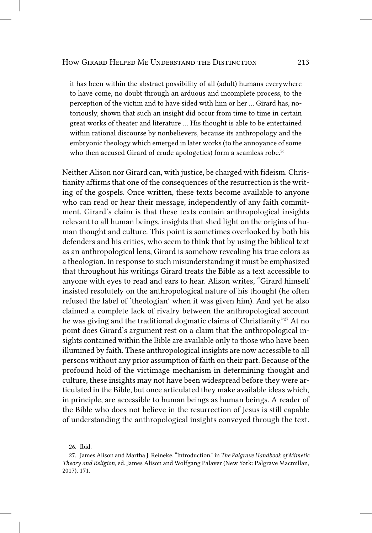it has been within the abstract possibility of all (adult) humans everywhere to have come, no doubt through an arduous and incomplete process, to the perception of the victim and to have sided with him or her … Girard has, notoriously, shown that such an insight did occur from time to time in certain great works of theater and literature … His thought is able to be entertained within rational discourse by nonbelievers, because its anthropology and the embryonic theology which emerged in later works (to the annoyance of some who then accused Girard of crude apologetics) form a seamless robe.<sup>26</sup>

Neither Alison nor Girard can, with justice, be charged with fideism. Christianity affirms that one of the consequences of the resurrection is the writing of the gospels. Once written, these texts become available to anyone who can read or hear their message, independently of any faith commitment. Girard's claim is that these texts contain anthropological insights relevant to all human beings, insights that shed light on the origins of human thought and culture. This point is sometimes overlooked by both his defenders and his critics, who seem to think that by using the biblical text as an anthropological lens, Girard is somehow revealing his true colors as a theologian. In response to such misunderstanding it must be emphasized that throughout his writings Girard treats the Bible as a text accessible to anyone with eyes to read and ears to hear. Alison writes, "Girard himself insisted resolutely on the anthropological nature of his thought (he often refused the label of 'theologian' when it was given him). And yet he also claimed a complete lack of rivalry between the anthropological account he was giving and the traditional dogmatic claims of Christianity."<sup>27</sup> At no point does Girard's argument rest on a claim that the anthropological insights contained within the Bible are available only to those who have been illumined by faith. These anthropological insights are now accessible to all persons without any prior assumption of faith on their part. Because of the profound hold of the victimage mechanism in determining thought and culture, these insights may not have been widespread before they were articulated in the Bible, but once articulated they make available ideas which, in principle, are accessible to human beings as human beings. A reader of the Bible who does not believe in the resurrection of Jesus is still capable of understanding the anthropological insights conveyed through the text.

26. Ibid.

<sup>27.</sup> James Alison and Martha J. Reineke, "Introduction," in *The Palgrave Handbook of Mimetic Theory and Religion*, ed. James Alison and Wolfgang Palaver (New York: Palgrave Macmillan, 2017), 171.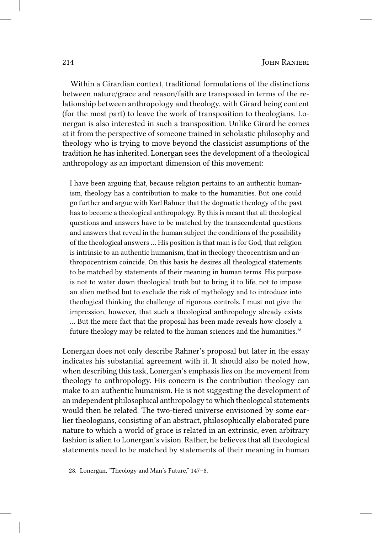Within a Girardian context, traditional formulations of the distinctions between nature/grace and reason/faith are transposed in terms of the relationship between anthropology and theology, with Girard being content (for the most part) to leave the work of transposition to theologians. Lonergan is also interested in such a transposition. Unlike Girard he comes at it from the perspective of someone trained in scholastic philosophy and theology who is trying to move beyond the classicist assumptions of the tradition he has inherited. Lonergan sees the development of a theological anthropology as an important dimension of this movement:

I have been arguing that, because religion pertains to an authentic humanism, theology has a contribution to make to the humanities. But one could go further and argue with Karl Rahner that the dogmatic theology of the past has to become a theological anthropology. By this is meant that all theological questions and answers have to be matched by the transcendental questions and answers that reveal in the human subject the conditions of the possibility of the theological answers … His position is that man is for God, that religion is intrinsic to an authentic humanism, that in theology theocentrism and anthropocentrism coincide. On this basis he desires all theological statements to be matched by statements of their meaning in human terms. His purpose is not to water down theological truth but to bring it to life, not to impose an alien method but to exclude the risk of mythology and to introduce into theological thinking the challenge of rigorous controls. I must not give the impression, however, that such a theological anthropology already exists … But the mere fact that the proposal has been made reveals how closely a future theology may be related to the human sciences and the humanities. 28

Lonergan does not only describe Rahner's proposal but later in the essay indicates his substantial agreement with it. It should also be noted how, when describing this task, Lonergan's emphasis lies on the movement from theology to anthropology. His concern is the contribution theology can make to an authentic humanism. He is not suggesting the development of an independent philosophical anthropology to which theological statements would then be related. The two-tiered universe envisioned by some earlier theologians, consisting of an abstract, philosophically elaborated pure nature to which a world of grace is related in an extrinsic, even arbitrary fashion is alien to Lonergan's vision. Rather, he believes that all theological statements need to be matched by statements of their meaning in human

28. Lonergan, "Theology and Man's Future," 147–8.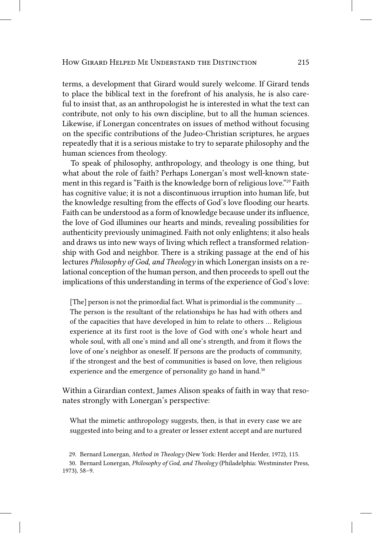terms, a development that Girard would surely welcome. If Girard tends to place the biblical text in the forefront of his analysis, he is also careful to insist that, as an anthropologist he is interested in what the text can contribute, not only to his own discipline, but to all the human sciences. Likewise, if Lonergan concentrates on issues of method without focusing on the specific contributions of the Judeo-Christian scriptures, he argues repeatedly that it is a serious mistake to try to separate philosophy and the human sciences from theology.

To speak of philosophy, anthropology, and theology is one thing, but what about the role of faith? Perhaps Lonergan's most well-known statement in this regard is "Faith is the knowledge born of religious love."<sup>29</sup> Faith has cognitive value; it is not a discontinuous irruption into human life, but the knowledge resulting from the effects of God's love flooding our hearts. Faith can be understood as a form of knowledge because under its influence, the love of God illumines our hearts and minds, revealing possibilities for authenticity previously unimagined. Faith not only enlightens; it also heals and draws us into new ways of living which reflect a transformed relationship with God and neighbor. There is a striking passage at the end of his lectures *Philosophy of God, and Theology* in which Lonergan insists on a relational conception of the human person, and then proceeds to spell out the implications of this understanding in terms of the experience of God's love:

[The] person is not the primordial fact. What is primordial is the community ... The person is the resultant of the relationships he has had with others and of the capacities that have developed in him to relate to others … Religious experience at its first root is the love of God with one's whole heart and whole soul, with all one's mind and all one's strength, and from it flows the love of one's neighbor as oneself. If persons are the products of community, if the strongest and the best of communities is based on love, then religious experience and the emergence of personality go hand in hand.<sup>30</sup>

Within a Girardian context, James Alison speaks of faith in way that resonates strongly with Lonergan's perspective:

What the mimetic anthropology suggests, then, is that in every case we are suggested into being and to a greater or lesser extent accept and are nurtured

<sup>29.</sup> Bernard Lonergan, *Method in Theology* (New York: Herder and Herder, 1972), 115.

<sup>30.</sup> Bernard Lonergan, *Philosophy of God, and Theology* (Philadelphia: Westminster Press, 1973), 58–9.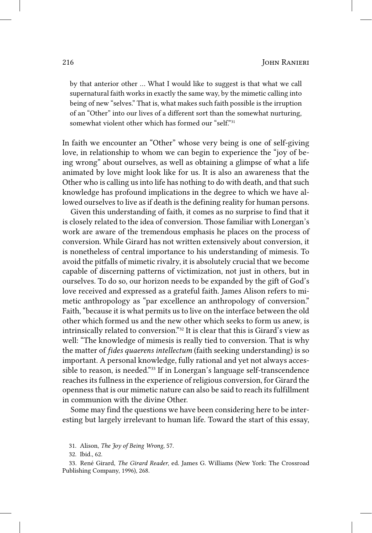by that anterior other … What I would like to suggest is that what we call supernatural faith works in exactly the same way, by the mimetic calling into being of new "selves." That is, what makes such faith possible is the irruption of an "Other" into our lives of a different sort than the somewhat nurturing, somewhat violent other which has formed our "self"<sup>31</sup>

In faith we encounter an "Other" whose very being is one of self-giving love, in relationship to whom we can begin to experience the "joy of being wrong" about ourselves, as well as obtaining a glimpse of what a life animated by love might look like for us. It is also an awareness that the Other who is calling us into life has nothing to do with death, and that such knowledge has profound implications in the degree to which we have allowed ourselves to live as if death is the defining reality for human persons.

Given this understanding of faith, it comes as no surprise to find that it is closely related to the idea of conversion. Those familiar with Lonergan's work are aware of the tremendous emphasis he places on the process of conversion. While Girard has not written extensively about conversion, it is nonetheless of central importance to his understanding of mimesis. To avoid the pitfalls of mimetic rivalry, it is absolutely crucial that we become capable of discerning patterns of victimization, not just in others, but in ourselves. To do so, our horizon needs to be expanded by the gift of God's love received and expressed as a grateful faith. James Alison refers to mimetic anthropology as "par excellence an anthropology of conversion." Faith, "because it is what permits us to live on the interface between the old other which formed us and the new other which seeks to form us anew, is intrinsically related to conversion." 32 It is clear that this is Girard's view as well: "The knowledge of mimesis is really tied to conversion. That is why the matter of *fides quaerens intellectum* (faith seeking understanding) is so important. A personal knowledge, fully rational and yet not always accessible to reason, is needed." 33 If in Lonergan's language self-transcendence reaches its fullness in the experience of religious conversion, for Girard the openness that is our mimetic nature can also be said to reach its fulfillment in communion with the divine Other.

Some may find the questions we have been considering here to be interesting but largely irrelevant to human life. Toward the start of this essay,

<sup>31.</sup> Alison, *The Joy of Being Wrong*, 57.

<sup>32.</sup> Ibid., 62.

<sup>33.</sup> René Girard, *The Girard Reader*, ed. James G. Williams (New York: The Crossroad Publishing Company, 1996), 268.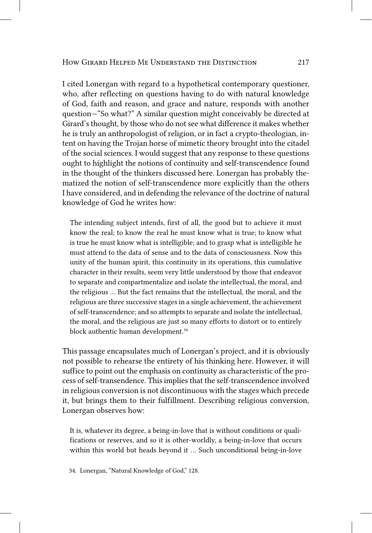I cited Lonergan with regard to a hypothetical contemporary questioner, who, after reflecting on questions having to do with natural knowledge of God, faith and reason, and grace and nature, responds with another question—"So what?" A similar question might conceivably be directed at Girard's thought, by those who do not see what difference it makes whether he is truly an anthropologist of religion, or in fact a crypto-theologian, intent on having the Trojan horse of mimetic theory brought into the citadel of the social sciences. I would suggest that any response to these questions ought to highlight the notions of continuity and self-transcendence found in the thought of the thinkers discussed here. Lonergan has probably thematized the notion of self-transcendence more explicitly than the others I have considered, and in defending the relevance of the doctrine of natural knowledge of God he writes how:

The intending subject intends, first of all, the good but to achieve it must know the real; to know the real he must know what is true; to know what is true he must know what is intelligible; and to grasp what is intelligible he must attend to the data of sense and to the data of consciousness. Now this unity of the human spirit, this continuity in its operations, this cumulative character in their results, seem very little understood by those that endeavor to separate and compartmentalize and isolate the intellectual, the moral, and the religious … But the fact remains that the intellectual, the moral, and the religious are three successive stages in a single achievement, the achievement of self-transcendence; and so attempts to separate and isolate the intellectual, the moral, and the religious are just so many efforts to distort or to entirely block authentic human development. 34

This passage encapsulates much of Lonergan's project, and it is obviously not possible to rehearse the entirety of his thinking here. However, it will suffice to point out the emphasis on continuity as characteristic of the process of self-transendence. This implies that the self-transcendence involved in religious conversion is not discontinuous with the stages which precede it, but brings them to their fulfillment. Describing religious conversion, Lonergan observes how:

It is, whatever its degree, a being-in-love that is without conditions or qualifications or reserves, and so it is other-worldly, a being-in-love that occurs within this world but heads beyond it … Such unconditional being-in-love

34. Lonergan, "Natural Knowledge of God," 128.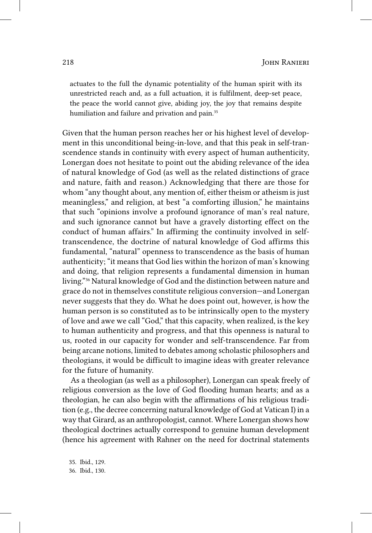actuates to the full the dynamic potentiality of the human spirit with its unrestricted reach and, as a full actuation, it is fulfilment, deep-set peace, the peace the world cannot give, abiding joy, the joy that remains despite humiliation and failure and privation and pain.<sup>35</sup>

Given that the human person reaches her or his highest level of development in this unconditional being-in-love, and that this peak in self-transcendence stands in continuity with every aspect of human authenticity, Lonergan does not hesitate to point out the abiding relevance of the idea of natural knowledge of God (as well as the related distinctions of grace and nature, faith and reason.) Acknowledging that there are those for whom "any thought about, any mention of, either theism or atheism is just meaningless," and religion, at best "a comforting illusion," he maintains that such "opinions involve a profound ignorance of man's real nature, and such ignorance cannot but have a gravely distorting effect on the conduct of human affairs." In affirming the continuity involved in selftranscendence, the doctrine of natural knowledge of God affirms this fundamental, "natural" openness to transcendence as the basis of human authenticity; "it means that God lies within the horizon of man's knowing and doing, that religion represents a fundamental dimension in human living."<sup>36</sup> Natural knowledge of God and the distinction between nature and grace do not in themselves constitute religious conversion—and Lonergan never suggests that they do. What he does point out, however, is how the human person is so constituted as to be intrinsically open to the mystery of love and awe we call "God," that this capacity, when realized, is the key to human authenticity and progress, and that this openness is natural to us, rooted in our capacity for wonder and self-transcendence. Far from being arcane notions, limited to debates among scholastic philosophers and theologians, it would be difficult to imagine ideas with greater relevance for the future of humanity.

As a theologian (as well as a philosopher), Lonergan can speak freely of religious conversion as the love of God flooding human hearts; and as a theologian, he can also begin with the affirmations of his religious tradition (e.g., the decree concerning natural knowledge of God at Vatican I) in a way that Girard, as an anthropologist, cannot. Where Lonergan shows how theological doctrines actually correspond to genuine human development (hence his agreement with Rahner on the need for doctrinal statements

35. Ibid., 129. 36. Ibid., 130.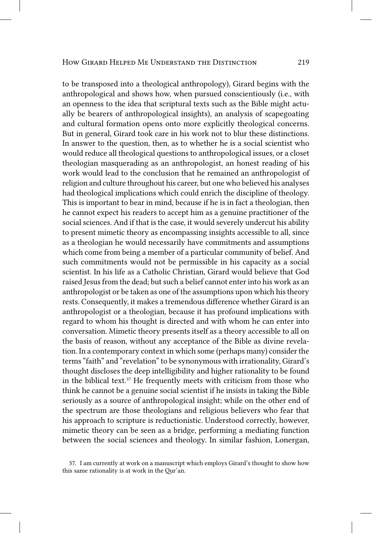to be transposed into a theological anthropology), Girard begins with the anthropological and shows how, when pursued conscientiously (i.e., with an openness to the idea that scriptural texts such as the Bible might actually be bearers of anthropological insights), an analysis of scapegoating and cultural formation opens onto more explicitly theological concerns. But in general, Girard took care in his work not to blur these distinctions. In answer to the question, then, as to whether he is a social scientist who would reduce all theological questions to anthropological issues, or a closet theologian masquerading as an anthropologist, an honest reading of his work would lead to the conclusion that he remained an anthropologist of religion and culture throughout his career, but one who believed his analyses had theological implications which could enrich the discipline of theology. This is important to bear in mind, because if he is in fact a theologian, then he cannot expect his readers to accept him as a genuine practitioner of the social sciences. And if that is the case, it would severely undercut his ability to present mimetic theory as encompassing insights accessible to all, since as a theologian he would necessarily have commitments and assumptions which come from being a member of a particular community of belief. And such commitments would not be permissible in his capacity as a social scientist. In his life as a Catholic Christian, Girard would believe that God raised Jesus from the dead; but such a belief cannot enter into his work as an anthropologist or be taken as one of the assumptions upon which his theory rests. Consequently, it makes a tremendous difference whether Girard is an anthropologist or a theologian, because it has profound implications with regard to whom his thought is directed and with whom he can enter into conversation. Mimetic theory presents itself as a theory accessible to all on the basis of reason, without any acceptance of the Bible as divine revelation. In a contemporary context in which some (perhaps many) consider the terms "faith" and "revelation" to be synonymous with irrationality, Girard's thought discloses the deep intelligibility and higher rationality to be found in the biblical text. 37 He frequently meets with criticism from those who think he cannot be a genuine social scientist if he insists in taking the Bible seriously as a source of anthropological insight; while on the other end of the spectrum are those theologians and religious believers who fear that his approach to scripture is reductionistic. Understood correctly, however, mimetic theory can be seen as a bridge, performing a mediating function between the social sciences and theology. In similar fashion, Lonergan,

<sup>37.</sup> I am currently at work on a manuscript which employs Girard's thought to show how this same rationality is at work in the Qur'an.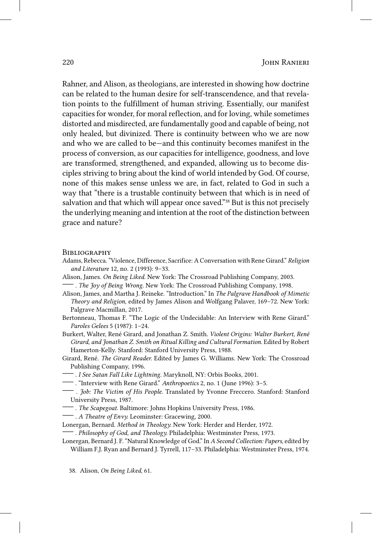Rahner, and Alison, as theologians, are interested in showing how doctrine can be related to the human desire for self-transcendence, and that revelation points to the fulfillment of human striving. Essentially, our manifest capacities for wonder, for moral reflection, and for loving, while sometimes distorted and misdirected, are fundamentally good and capable of being, not only healed, but divinized. There is continuity between who we are now and who we are called to be—and this continuity becomes manifest in the process of conversion, as our capacities for intelligence, goodness, and love are transformed, strengthened, and expanded, allowing us to become disciples striving to bring about the kind of world intended by God. Of course, none of this makes sense unless we are, in fact, related to God in such a way that "there is a trustable continuity between that which is in need of salvation and that which will appear once saved."<sup>38</sup> But is this not precisely the underlying meaning and intention at the root of the distinction between grace and nature?

## **BIBLIOGRAPHY**

- Adams, Rebecca. "Violence, Difference, Sacrifice: A Conversation with Rene Girard." *Religion and Literature* 12, no. 2 (1993): 9–33.
- Alison, James. *On Being Liked.* New York: The Crossroad Publishing Company, 2003. —. *The Joy of Being Wrong.* New York: The Crossroad Publishing Company, 1998.
- Alison, James, and Martha J. Reineke. "Introduction." In *The Palgrave Handbook of Mimetic Theory and Religion*, edited by James Alison and Wolfgang Palaver, 169–72. New York: Palgrave Macmillan, 2017.
- Bertonneau, Thomas F. "The Logic of the Undecidable: An Interview with Rene Girard." *Paroles Gelees* 5 (1987): 1–24.
- Burkert, Walter, René Girard, and Jonathan Z. Smith. *Violent Origins: Walter Burkert, René Girard, and Jonathan Z. Smith on Ritual Killing and Cultural Formation.* Edited by Robert Hamerton-Kelly. Stanford: Stanford University Press, 1988.
- Girard, René. *The Girard Reader.* Edited by James G. Williams. New York: The Crossroad Publishing Company, 1996.
- —. *I See Satan Fall Like Lightning.* Maryknoll, NY: Orbis Books, 2001.
- —. "Interview with Rene Girard." *Anthropoetics* 2, no. 1 (June 1996): 3–5.
- . *Job: The Victim of His People.* Translated by Yvonne Freccero. Stanford: Stanford University Press, 1987.
- —. *The Scapegoat.* Baltimore: Johns Hopkins University Press, 1986.
- —. *A Theatre of Envy.* Leominster: Gracewing, 2000.
- Lonergan, Bernard. *Method in Theology.* New York: Herder and Herder, 1972.

—. *Philosophy of God, and Theology.* Philadelphia: Westminster Press, 1973.

Lonergan, Bernard J. F. "Natural Knowledge of God." In *A Second Collection: Papers*, edited by William F.J. Ryan and Bernard J. Tyrrell, 117–33. Philadelphia: Westminster Press, 1974.

38. Alison, *On Being Liked*, 61.